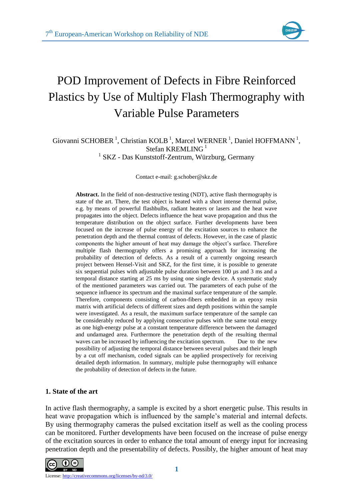

# POD Improvement of Defects in Fibre Reinforced Plastics by Use of Multiply Flash Thermography with Variable Pulse Parameters

## Giovanni SCHOBER<sup>1</sup>, Christian KOLB<sup>1</sup>, Marcel WERNER<sup>1</sup>, Daniel HOFFMANN<sup>1</sup>, Stefan KREMLING $<sup>1</sup>$ </sup> <sup>1</sup> SKZ - Das Kunststoff-Zentrum, Würzburg, Germany

Contact e-mail: g.schober@skz.de

**Abstract.** In the field of non-destructive testing (NDT), active flash thermography is state of the art. There, the test object is heated with a short intense thermal pulse, e.g. by means of powerful flashbulbs, radiant heaters or lasers and the heat wave propagates into the object. Defects influence the heat wave propagation and thus the temperature distribution on the object surface. Further developments have been focused on the increase of pulse energy of the excitation sources to enhance the penetration depth and the thermal contrast of defects. However, in the case of plastic components the higher amount of heat may damage the object's surface. Therefore multiple flash thermography offers a promising approach for increasing the probability of detection of defects. As a result of a currently ongoing research project between Hensel-Visit and SKZ, for the first time, it is possible to generate six sequential pulses with adjustable pulse duration between 100 µs and 3 ms and a temporal distance starting at 25 ms by using one single device. A systematic study of the mentioned parameters was carried out. The parameters of each pulse of the sequence influence its spectrum and the maximal surface temperature of the sample. Therefore, components consisting of carbon-fibers embedded in an epoxy resin matrix with artificial defects of different sizes and depth positions within the sample were investigated. As a result, the maximum surface temperature of the sample can be considerably reduced by applying consecutive pulses with the same total energy as one high-energy pulse at a constant temperature difference between the damaged and undamaged area. Furthermore the penetration depth of the resulting thermal waves can be increased by influencing the excitation spectrum. Due to the new possibility of adjusting the temporal distance between several pulses and their length by a cut off mechanism, coded signals can be applied prospectively for receiving detailed depth information. In summary, multiple pulse thermography will enhance the probability of detection of defects in the future.

### **1. State of the art**

In active flash thermography, a sample is excited by a short energetic pulse. This results in heat wave propagation which is influenced by the sample's material and internal defects. By using thermography cameras the pulsed excitation itself as well as the cooling process can be monitored. Further developments have been focused on the increase of pulse energy of the excitation sources in order to enhance the total amount of energy input for increasing penetration depth and the presentability of defects. Possibly, the higher amount of heat may

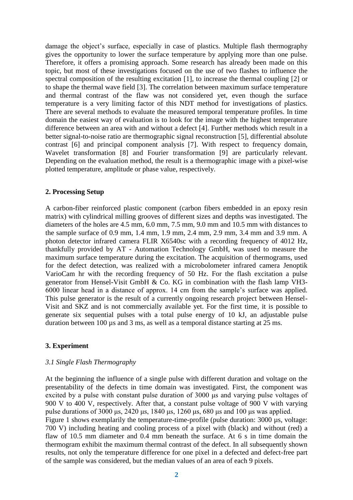damage the object's surface, especially in case of plastics. Multiple flash thermography gives the opportunity to lower the surface temperature by applying more than one pulse. Therefore, it offers a promising approach. Some research has already been made on this topic, but most of these investigations focused on the use of two flashes to influence the spectral composition of the resulting excitation [1], to increase the thermal coupling [2] or to shape the thermal wave field [3]. The correlation between maximum surface temperature and thermal contrast of the flaw was not considered yet, even though the surface temperature is a very limiting factor of this NDT method for investigations of plastics. There are several methods to evaluate the measured temporal temperature profiles. In time domain the easiest way of evaluation is to look for the image with the highest temperature difference between an area with and without a defect [4]. Further methods which result in a better signal-to-noise ratio are thermographic signal reconstruction [5], differential absolute contrast [6] and principal component analysis [7]. With respect to frequency domain, Wavelet transformation [8] and Fourier transformation [9] are particularly relevant. Depending on the evaluation method, the result is a thermographic image with a pixel-wise plotted temperature, amplitude or phase value, respectively.

#### **2. Processing Setup**

A carbon-fiber reinforced plastic component (carbon fibers embedded in an epoxy resin matrix) with cylindrical milling grooves of different sizes and depths was investigated. The diameters of the holes are 4.5 mm, 6.0 mm, 7.5 mm, 9.0 mm and 10.5 mm with distances to the sample surface of 0.9 mm, 1.4 mm, 1.9 mm, 2.4 mm, 2.9 mm, 3.4 mm and 3.9 mm. A photon detector infrared camera FLIR X6540sc with a recording frequency of 4012 Hz, thankfully provided by AT - Automation Technology GmbH, was used to measure the maximum surface temperature during the excitation. The acquisition of thermograms, used for the defect detection, was realized with a microbolometer infrared camera Jenoptik VarioCam hr with the recording frequency of 50 Hz. For the flash excitation a pulse generator from Hensel-Visit GmbH & Co. KG in combination with the flash lamp VH3- 6000 linear head in a distance of approx. 14 cm from the sample's surface was applied. This pulse generator is the result of a currently ongoing research project between Hensel-Visit and SKZ and is not commercially available yet. For the first time, it is possible to generate six sequential pulses with a total pulse energy of 10 kJ, an adjustable pulse duration between 100 µs and 3 ms, as well as a temporal distance starting at 25 ms.

### **3. Experiment**

### *3.1 Single Flash Thermography*

At the beginning the influence of a single pulse with different duration and voltage on the presentability of the defects in time domain was investigated. First, the component was excited by a pulse with constant pulse duration of 3000 μs and varying pulse voltages of 900 V to 400 V, respectively. After that, a constant pulse voltage of 900 V with varying pulse durations of 3000 μs, 2420 μs, 1840 μs, 1260 μs, 680 μs and 100 μs was applied. Figure 1 shows exemplarily the temperature-time-profile (pulse duration: 3000 µs, voltage: 700 V) including heating and cooling process of a pixel with (black) and without (red) a flaw of 10.5 mm diameter and 0.4 mm beneath the surface. At 6 s in time domain the thermogram exhibit the maximum thermal contrast of the defect. In all subsequently shown results, not only the temperature difference for one pixel in a defected and defect-free part of the sample was considered, but the median values of an area of each 9 pixels.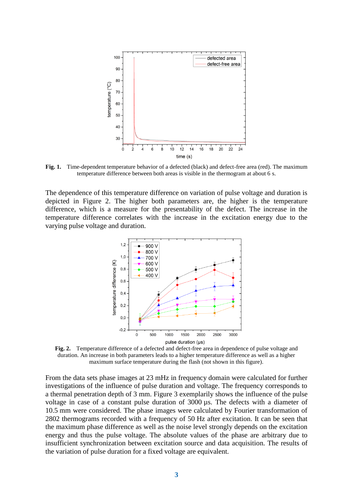

**Fig. 1.** Time-dependent temperature behavior of a defected (black) and defect-free area (red). The maximum temperature difference between both areas is visible in the thermogram at about 6 s.

The dependence of this temperature difference on variation of pulse voltage and duration is depicted in Figure 2. The higher both parameters are, the higher is the temperature difference, which is a measure for the presentability of the defect. The increase in the temperature difference correlates with the increase in the excitation energy due to the varying pulse voltage and duration.



**Fig. 2.** Temperature difference of a defected and defect-free area in dependence of pulse voltage and duration. An increase in both parameters leads to a higher temperature difference as well as a higher maximum surface temperature during the flash (not shown in this figure).

From the data sets phase images at 23 mHz in frequency domain were calculated for further investigations of the influence of pulse duration and voltage. The frequency corresponds to a thermal penetration depth of 3 mm. Figure 3 exemplarily shows the influence of the pulse voltage in case of a constant pulse duration of 3000 µs. The defects with a diameter of 10.5 mm were considered. The phase images were calculated by Fourier transformation of 2802 thermograms recorded with a frequency of 50 Hz after excitation. It can be seen that the maximum phase difference as well as the noise level strongly depends on the excitation energy and thus the pulse voltage. The absolute values of the phase are arbitrary due to insufficient synchronization between excitation source and data acquisition. The results of the variation of pulse duration for a fixed voltage are equivalent.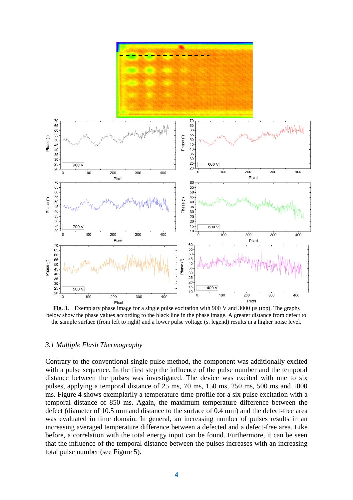

**Fig. 3.** Exemplary phase image for a single pulse excitation with 900 V and 3000  $\mu$ s (top). The graphs below show the phase values according to the black line in the phase image. A greater distance from defect to the sample surface (from left to right) and a lower pulse voltage (s. legend) results in a higher noise level.

#### *3.1 Multiple Flash Thermography*

Contrary to the conventional single pulse method, the component was additionally excited with a pulse sequence. In the first step the influence of the pulse number and the temporal distance between the pulses was investigated. The device was excited with one to six pulses, applying a temporal distance of 25 ms, 70 ms, 150 ms, 250 ms, 500 ms and 1000 ms. Figure 4 shows exemplarily a temperature-time-profile for a six pulse excitation with a temporal distance of 850 ms. Again, the maximum temperature difference between the defect (diameter of 10.5 mm and distance to the surface of 0.4 mm) and the defect-free area was evaluated in time domain. In general, an increasing number of pulses results in an increasing averaged temperature difference between a defected and a defect-free area. Like before, a correlation with the total energy input can be found. Furthermore, it can be seen that the influence of the temporal distance between the pulses increases with an increasing total pulse number (see Figure 5).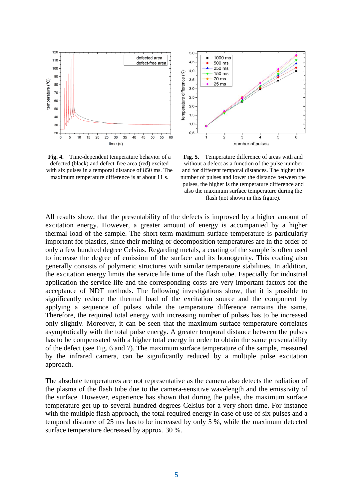

 $5,0$  $1000$  ms  $4.5$ 500 ms 250 ms  $4.0$ temperature difference (K) 150 ms **70 ms**  $3,5$  $25 \text{ ms}$  $3,0$ 2.5  $2,0$  $1,5$  $1,0$  $0,5$  $\frac{1}{2}$  $\overline{3}$  $\overline{4}$  $\overline{5}$ 6 number of pulses

**Fig. 4.** Time-dependent temperature behavior of a defected (black) and defect-free area (red) excited with six pulses in a temporal distance of 850 ms. The maximum temperature difference is at about 11 s.

**Fig. 5.** Temperature difference of areas with and without a defect as a function of the pulse number and for different temporal distances. The higher the number of pulses and lower the distance between the pulses, the higher is the temperature difference and also the maximum surface temperature during the flash (not shown in this figure).

All results show, that the presentability of the defects is improved by a higher amount of excitation energy. However, a greater amount of energy is accompanied by a higher thermal load of the sample. The short-term maximum surface temperature is particularly important for plastics, since their melting or decomposition temperatures are in the order of only a few hundred degree Celsius. Regarding metals, a coating of the sample is often used to increase the degree of emission of the surface and its homogenity. This coating also generally consists of polymeric structures with similar temperature stabilities. In addition, the excitation energy limits the service life time of the flash tube. Especially for industrial application the service life and the corresponding costs are very important factors for the acceptance of NDT methods. The following investigations show, that it is possible to significantly reduce the thermal load of the excitation source and the component by applying a sequence of pulses while the temperature difference remains the same. Therefore, the required total energy with increasing number of pulses has to be increased only slightly. Moreover, it can be seen that the maximum surface temperature correlates asymptotically with the total pulse energy. A greater temporal distance between the pulses has to be compensated with a higher total energy in order to obtain the same presentability of the defect (see Fig. 6 and 7). The maximum surface temperature of the sample, measured by the infrared camera, can be significantly reduced by a multiple pulse excitation approach.

The absolute temperatures are not representative as the camera also detects the radiation of the plasma of the flash tube due to the camera-sensitive wavelength and the emissivity of the surface. However, experience has shown that during the pulse, the maximum surface temperature get up to several hundred degrees Celsius for a very short time. For instance with the multiple flash approach, the total required energy in case of use of six pulses and a temporal distance of 25 ms has to be increased by only 5 %, while the maximum detected surface temperature decreased by approx. 30 %.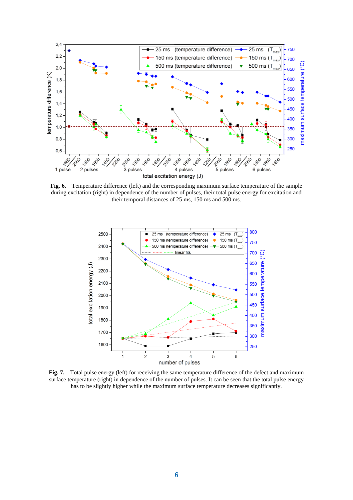

**Fig. 6.** Temperature difference (left) and the corresponding maximum surface temperature of the sample during excitation (right) in dependence of the number of pulses, their total pulse energy for excitation and their temporal distances of 25 ms, 150 ms and 500 ms.



**Fig. 7.** Total pulse energy (left) for receiving the same temperature difference of the defect and maximum surface temperature (right) in dependence of the number of pulses. It can be seen that the total pulse energy has to be slightly higher while the maximum surface temperature decreases significantly.